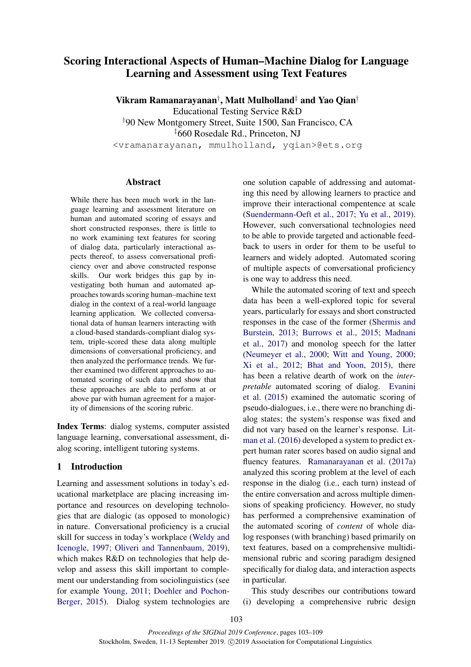# <span id="page-0-0"></span>Scoring Interactional Aspects of Human–Machine Dialog for Language Learning and Assessment using Text Features

Vikram Ramanarayanan† , Matt Mulholland‡ and Yao Qian†

Educational Testing Service R&D †90 New Montgomery Street, Suite 1500, San Francisco, CA ‡660 Rosedale Rd., Princeton, NJ <vramanarayanan, mmulholland, yqian>@ets.org

#### Abstract

While there has been much work in the language learning and assessment literature on human and automated scoring of essays and short constructed responses, there is little to no work examining text features for scoring of dialog data, particularly interactional aspects thereof, to assess conversational proficiency over and above constructed response skills. Our work bridges this gap by investigating both human and automated approaches towards scoring human–machine text dialog in the context of a real-world language learning application. We collected conversational data of human learners interacting with a cloud-based standards-compliant dialog system, triple-scored these data along multiple dimensions of conversational proficiency, and then analyzed the performance trends. We further examined two different approaches to automated scoring of such data and show that these approaches are able to perform at or above par with human agreement for a majority of dimensions of the scoring rubric.

Index Terms: dialog systems, computer assisted language learning, conversational assessment, dialog scoring, intelligent tutoring systems.

# 1 Introduction

Learning and assessment solutions in today's educational marketplace are placing increasing importance and resources on developing technologies that are dialogic (as opposed to monologic) in nature. Conversational proficiency is a crucial skill for success in today's workplace [\(Weldy and](#page-6-0) [Icenogle,](#page-6-0) [1997;](#page-6-0) [Oliveri and Tannenbaum,](#page-5-0) [2019\)](#page-5-0), which makes R&D on technologies that help develop and assess this skill important to complement our understanding from sociolinguistics (see for example [Young,](#page-6-1) [2011;](#page-6-1) [Doehler and Pochon-](#page-5-1)[Berger,](#page-5-1) [2015\)](#page-5-1). Dialog system technologies are

one solution capable of addressing and automating this need by allowing learners to practice and improve their interactional compentence at scale [\(Suendermann-Oeft et al.,](#page-5-2) [2017;](#page-5-2) [Yu et al.,](#page-6-2) [2019\)](#page-6-2). However, such conversational technologies need to be able to provide targeted and actionable feedback to users in order for them to be useful to learners and widely adopted. Automated scoring of multiple aspects of conversational proficiency is one way to address this need.

While the automated scoring of text and speech data has been a well-explored topic for several years, particularly for essays and short constructed responses in the case of the former [\(Shermis and](#page-5-3) [Burstein,](#page-5-3) [2013;](#page-5-3) [Burrows et al.,](#page-5-4) [2015;](#page-5-4) [Madnani](#page-5-5) [et al.,](#page-5-5) [2017\)](#page-5-5) and monolog speech for the latter [\(Neumeyer et al.,](#page-5-6) [2000;](#page-5-6) [Witt and Young,](#page-6-3) [2000;](#page-6-3) [Xi et al.,](#page-6-4) [2012;](#page-6-4) [Bhat and Yoon,](#page-5-7) [2015\)](#page-5-7), there has been a relative dearth of work on the *interpretable* automated scoring of dialog. [Evanini](#page-5-8) [et al.](#page-5-8) [\(2015\)](#page-5-8) examined the automatic scoring of pseudo-dialogues, i.e., there were no branching dialog states; the system's response was fixed and did not vary based on the learner's response. [Lit](#page-5-9)[man et al.](#page-5-9) [\(2016\)](#page-5-9) developed a system to predict expert human rater scores based on audio signal and fluency features. [Ramanarayanan et al.](#page-5-10) [\(2017a\)](#page-5-10) analyzed this scoring problem at the level of each response in the dialog (i.e., each turn) instead of the entire conversation and across multiple dimensions of speaking proficiency. However, no study has performed a comprehensive examination of the automated scoring of *content* of whole dialog responses (with branching) based primarily on text features, based on a comprehensive multidimensional rubric and scoring paradigm designed specifically for dialog data, and interaction aspects in particular.

This study describes our contributions toward (i) developing a comprehensive rubric design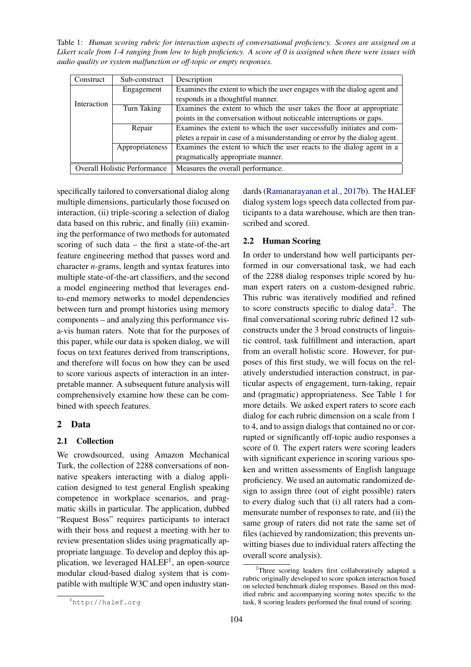<span id="page-1-0"></span>Table 1: *Human scoring rubric for interaction aspects of conversational proficiency. Scores are assigned on a Likert scale from 1-4 ranging from low to high proficiency. A score of 0 is assigned when there were issues with audio quality or system malfunction or off-topic or empty responses.*

| Construct                           | Sub-construct   | Description                                                                 |  |  |  |
|-------------------------------------|-----------------|-----------------------------------------------------------------------------|--|--|--|
|                                     | Engagement      | Examines the extent to which the user engages with the dialog agent and     |  |  |  |
| Interaction                         |                 | responds in a thoughtful manner.                                            |  |  |  |
|                                     | Turn Taking     | Examines the extent to which the user takes the floor at appropriate        |  |  |  |
|                                     |                 | points in the conversation without noticeable interruptions or gaps.        |  |  |  |
|                                     | Repair          | Examines the extent to which the user successfully initiates and com-       |  |  |  |
|                                     |                 | pletes a repair in case of a misunderstanding or error by the dialog agent. |  |  |  |
|                                     | Appropriateness | Examines the extent to which the user reacts to the dialog agent in a       |  |  |  |
|                                     |                 | pragmatically appropriate manner.                                           |  |  |  |
| <b>Overall Holistic Performance</b> |                 | Measures the overall performance.                                           |  |  |  |

specifically tailored to conversational dialog along multiple dimensions, particularly those focused on interaction, (ii) triple-scoring a selection of dialog data based on this rubric, and finally (iii) examining the performance of two methods for automated scoring of such data – the first a state-of-the-art feature engineering method that passes word and character *n*-grams, length and syntax features into multiple state-of-the-art classifiers, and the second a model engineering method that leverages endto-end memory networks to model dependencies between turn and prompt histories using memory components – and analyzing this performance visa-vis human raters. Note that for the purposes of this paper, while our data is spoken dialog, we will focus on text features derived from transcriptions, and therefore will focus on how they can be used to score various aspects of interaction in an interpretable manner. A subsequent future analysis will comprehensively examine how these can be combined with speech features.

# 2 Data

#### 2.1 Collection

We crowdsourced, using Amazon Mechanical Turk, the collection of 2288 conversations of nonnative speakers interacting with a dialog application designed to test general English speaking competence in workplace scenarios, and pragmatic skills in particular. The application, dubbed "Request Boss" requires participants to interact with their boss and request a meeting with her to review presentation slides using pragmatically appropriate language. To develop and deploy this ap-plication, we leveraged HALEF<sup>[1](#page-0-0)</sup>, an open-source modular cloud-based dialog system that is compatible with multiple W3C and open industry stan-

#### 2.2 Human Scoring

In order to understand how well participants performed in our conversational task, we had each of the 2288 dialog responses triple scored by human expert raters on a custom-designed rubric. This rubric was iteratively modified and refined to score constructs specific to dialog data<sup>[2](#page-0-0)</sup>. The final conversational scoring rubric defined 12 subconstructs under the 3 broad constructs of linguistic control, task fulfillment and interaction, apart from an overall holistic score. However, for purposes of this first study, we will focus on the relatively understudied interaction construct, in particular aspects of engagement, turn-taking, repair and (pragmatic) appropriateness. See Table [1](#page-1-0) for more details. We asked expert raters to score each dialog for each rubric dimension on a scale from 1 to 4, and to assign dialogs that contained no or corrupted or significantly off-topic audio responses a score of 0. The expert raters were scoring leaders with significant experience in scoring various spoken and written assessments of English language proficiency. We used an automatic randomized design to assign three (out of eight possible) raters to every dialog such that (i) all raters had a commensurate number of responses to rate, and (ii) the same group of raters did not rate the same set of files (achieved by randomization; this prevents unwitting biases due to individual raters affecting the overall score analysis).

dards [\(Ramanarayanan et al.,](#page-5-11) [2017b\)](#page-5-11). The HALEF dialog system logs speech data collected from participants to a data warehouse, which are then transcribed and scored.

<sup>&</sup>lt;sup>2</sup>Three scoring leaders first collaboratively adapted a rubric originally developed to score spoken interaction based on selected benchmark dialog responses. Based on this modified rubric and accompanying scoring notes specific to the task, 8 scoring leaders performed the final round of scoring.

<sup>1</sup>http://halef.org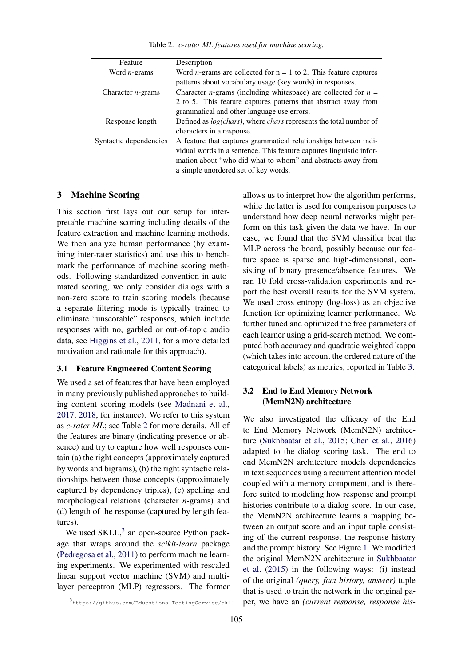<span id="page-2-0"></span>Feature Description Word *n*-grams Word *n*-grams are collected for  $n = 1$  to 2. This feature captures patterns about vocabulary usage (key words) in responses. Character *n*-grams Character *n*-grams (including whitespace) are collected for  $n =$ 2 to 5. This feature captures patterns that abstract away from grammatical and other language use errors. Response length Defined as *log(chars)*, where *chars* represents the total number of characters in a response. Syntactic dependencies  $\vert$  A feature that captures grammatical relationships between individual words in a sentence. This feature captures linguistic information about "who did what to whom" and abstracts away from a simple unordered set of key words.

Table 2: *c-rater ML features used for machine scoring.*

#### 3 Machine Scoring

This section first lays out our setup for interpretable machine scoring including details of the feature extraction and machine learning methods. We then analyze human performance (by examining inter-rater statistics) and use this to benchmark the performance of machine scoring methods. Following standardized convention in automated scoring, we only consider dialogs with a non-zero score to train scoring models (because a separate filtering mode is typically trained to eliminate "unscorable" responses, which include responses with no, garbled or out-of-topic audio data, see [Higgins et al.,](#page-5-12) [2011,](#page-5-12) for a more detailed motivation and rationale for this approach).

#### <span id="page-2-1"></span>3.1 Feature Engineered Content Scoring

We used a set of features that have been employed in many previously published approaches to building content scoring models (see [Madnani et al.,](#page-5-5) [2017,](#page-5-5) [2018,](#page-5-13) for instance). We refer to this system as *c-rater ML*; see Table [2](#page-2-0) for more details. All of the features are binary (indicating presence or absence) and try to capture how well responses contain (a) the right concepts (approximately captured by words and bigrams), (b) the right syntactic relationships between those concepts (approximately captured by dependency triples), (c) spelling and morphological relations (character *n*-grams) and (d) length of the response (captured by length features).

We used SKLL,<sup>[3](#page-0-0)</sup> an open-source Python package that wraps around the *scikit-learn* package [\(Pedregosa et al.,](#page-5-14) [2011\)](#page-5-14) to perform machine learning experiments. We experimented with rescaled linear support vector machine (SVM) and multilayer perceptron (MLP) regressors. The former allows us to interpret how the algorithm performs, while the latter is used for comparison purposes to understand how deep neural networks might perform on this task given the data we have. In our case, we found that the SVM classifier beat the MLP across the board, possibly because our feature space is sparse and high-dimensional, consisting of binary presence/absence features. We ran 10 fold cross-validation experiments and report the best overall results for the SVM system. We used cross entropy (log-loss) as an objective function for optimizing learner performance. We further tuned and optimized the free parameters of each learner using a grid-search method. We computed both accuracy and quadratic weighted kappa (which takes into account the ordered nature of the categorical labels) as metrics, reported in Table [3.](#page-3-0)

# 3.2 End to End Memory Network (MemN2N) architecture

We also investigated the efficacy of the End to End Memory Network (MemN2N) architecture [\(Sukhbaatar et al.,](#page-6-5) [2015;](#page-6-5) [Chen et al.,](#page-5-15) [2016\)](#page-5-15) adapted to the dialog scoring task. The end to end MemN2N architecture models dependencies in text sequences using a recurrent attention model coupled with a memory component, and is therefore suited to modeling how response and prompt histories contribute to a dialog score. In our case, the MemN2N architecture learns a mapping between an output score and an input tuple consisting of the current response, the response history and the prompt history. See Figure [1.](#page-3-1) We modified the original MemN2N architecture in [Sukhbaatar](#page-6-5) [et al.](#page-6-5) [\(2015\)](#page-6-5) in the following ways: (i) instead of the original *(query, fact history, answer)* tuple that is used to train the network in the original paper, we have an *(current response, response his-*

<sup>3</sup> https://github.com/EducationalTestingService/skll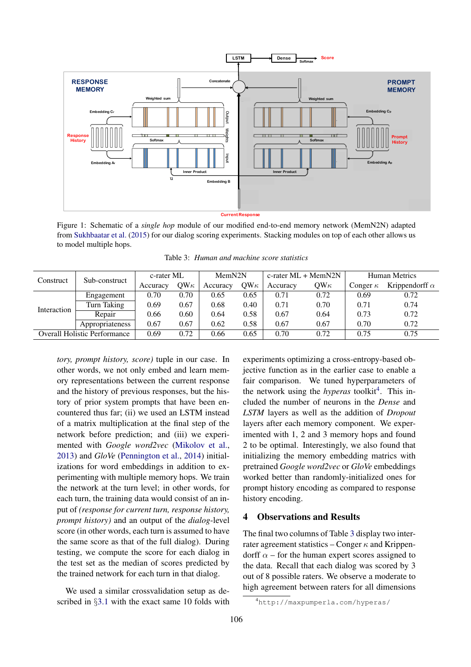<span id="page-3-1"></span>

<span id="page-3-0"></span>Figure 1: Schematic of a *single hop* module of our modified end-to-end memory network (MemN2N) adapted from [Sukhbaatar et al.](#page-6-5) [\(2015\)](#page-6-5) for our dialog scoring experiments. Stacking modules on top of each other allows us to model multiple hops.

| Construct                           | Sub-construct   | c-rater ML |             | MemN2N   |             | c-rater $ML + MemN2N$ |               | Human Metrics   |                       |
|-------------------------------------|-----------------|------------|-------------|----------|-------------|-----------------------|---------------|-----------------|-----------------------|
|                                     |                 | Accuracy   | OW $\kappa$ | Accuracy | OW $\kappa$ | Accuracy              | $OW_{\kappa}$ | Conger $\kappa$ | Krippendorff $\alpha$ |
| Interaction                         | Engagement      | 0.70       | 0.70        | 0.65     | 0.65        | 0.71                  | 0.72          | 0.69            | 0.72                  |
|                                     | Turn Taking     | 0.69       | 0.67        | 0.68     | 0.40        | 0.71                  | 0.70          | 0.71            | 0.74                  |
|                                     | Repair          | 0.66       | 0.60        | 0.64     | 0.58        | 0.67                  | 0.64          | 0.73            | 0.72                  |
|                                     | Appropriateness | 0.67       | 0.67        | 0.62     | 0.58        | 0.67                  | 0.67          | 0.70            | 0.72                  |
| <b>Overall Holistic Performance</b> |                 | 0.69       | 0.72        | 0.66     | 0.65        | 0.70                  | 0.72          | 0.75            | 0.75                  |

Table 3: *Human and machine score statistics*

*tory, prompt history, score)* tuple in our case. In other words, we not only embed and learn memory representations between the current response and the history of previous responses, but the history of prior system prompts that have been encountered thus far; (ii) we used an LSTM instead of a matrix multiplication at the final step of the network before prediction; and (iii) we experimented with *Google word2vec* [\(Mikolov et al.,](#page-5-16) [2013\)](#page-5-16) and *GloVe* [\(Pennington et al.,](#page-5-17) [2014\)](#page-5-17) initializations for word embeddings in addition to experimenting with multiple memory hops. We train the network at the turn level; in other words, for each turn, the training data would consist of an input of *(response for current turn, response history, prompt history)* and an output of the *dialog*-level score (in other words, each turn is assumed to have the same score as that of the full dialog). During testing, we compute the score for each dialog in the test set as the median of scores predicted by the trained network for each turn in that dialog.

We used a similar crossvalidation setup as described in §[3.1](#page-2-1) with the exact same 10 folds with

experiments optimizing a cross-entropy-based objective function as in the earlier case to enable a fair comparison. We tuned hyperparameters of the network using the *hyperas* toolkit<sup>[4](#page-0-0)</sup>. This included the number of neurons in the *Dense* and *LSTM* layers as well as the addition of *Dropout* layers after each memory component. We experimented with 1, 2 and 3 memory hops and found 2 to be optimal. Interestingly, we also found that initializing the memory embedding matrics with pretrained *Google word2vec* or *GloVe* embeddings worked better than randomly-initialized ones for prompt history encoding as compared to response history encoding.

#### 4 Observations and Results

The final two columns of Table [3](#page-3-0) display two interrater agreement statistics – Conger  $\kappa$  and Krippendorff  $\alpha$  – for the human expert scores assigned to the data. Recall that each dialog was scored by 3 out of 8 possible raters. We observe a moderate to high agreement between raters for all dimensions

<sup>4</sup>http://maxpumperla.com/hyperas/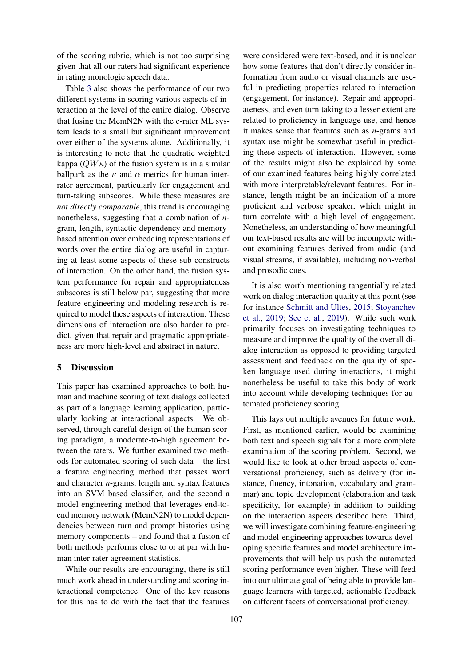of the scoring rubric, which is not too surprising given that all our raters had significant experience in rating monologic speech data.

Table [3](#page-3-0) also shows the performance of our two different systems in scoring various aspects of interaction at the level of the entire dialog. Observe that fusing the MemN2N with the c-rater ML system leads to a small but significant improvement over either of the systems alone. Additionally, it is interesting to note that the quadratic weighted kappa  $(QW\kappa)$  of the fusion system is in a similar ballpark as the  $\kappa$  and  $\alpha$  metrics for human interrater agreement, particularly for engagement and turn-taking subscores. While these measures are *not directly comparable*, this trend is encouraging nonetheless, suggesting that a combination of *n*gram, length, syntactic dependency and memorybased attention over embedding representations of words over the entire dialog are useful in capturing at least some aspects of these sub-constructs of interaction. On the other hand, the fusion system performance for repair and appropriateness subscores is still below par, suggesting that more feature engineering and modeling research is required to model these aspects of interaction. These dimensions of interaction are also harder to predict, given that repair and pragmatic appropriateness are more high-level and abstract in nature.

# 5 Discussion

This paper has examined approaches to both human and machine scoring of text dialogs collected as part of a language learning application, particularly looking at interactional aspects. We observed, through careful design of the human scoring paradigm, a moderate-to-high agreement between the raters. We further examined two methods for automated scoring of such data – the first a feature engineering method that passes word and character *n*-grams, length and syntax features into an SVM based classifier, and the second a model engineering method that leverages end-toend memory network (MemN2N) to model dependencies between turn and prompt histories using memory components – and found that a fusion of both methods performs close to or at par with human inter-rater agreement statistics.

While our results are encouraging, there is still much work ahead in understanding and scoring interactional competence. One of the key reasons for this has to do with the fact that the features

were considered were text-based, and it is unclear how some features that don't directly consider information from audio or visual channels are useful in predicting properties related to interaction (engagement, for instance). Repair and appropriateness, and even turn taking to a lesser extent are related to proficiency in language use, and hence it makes sense that features such as *n*-grams and syntax use might be somewhat useful in predicting these aspects of interaction. However, some of the results might also be explained by some of our examined features being highly correlated with more interpretable/relevant features. For instance, length might be an indication of a more proficient and verbose speaker, which might in turn correlate with a high level of engagement. Nonetheless, an understanding of how meaningful our text-based results are will be incomplete without examining features derived from audio (and visual streams, if available), including non-verbal and prosodic cues.

It is also worth mentioning tangentially related work on dialog interaction quality at this point (see for instance [Schmitt and Ultes,](#page-5-18) [2015;](#page-5-18) [Stoyanchev](#page-5-19) [et al.,](#page-5-19) [2019;](#page-5-19) [See et al.,](#page-5-20) [2019\)](#page-5-20). While such work primarily focuses on investigating techniques to measure and improve the quality of the overall dialog interaction as opposed to providing targeted assessment and feedback on the quality of spoken language used during interactions, it might nonetheless be useful to take this body of work into account while developing techniques for automated proficiency scoring.

This lays out multiple avenues for future work. First, as mentioned earlier, would be examining both text and speech signals for a more complete examination of the scoring problem. Second, we would like to look at other broad aspects of conversational proficiency, such as delivery (for instance, fluency, intonation, vocabulary and grammar) and topic development (elaboration and task specificity, for example) in addition to building on the interaction aspects described here. Third, we will investigate combining feature-engineering and model-engineering approaches towards developing specific features and model architecture improvements that will help us push the automated scoring performance even higher. These will feed into our ultimate goal of being able to provide language learners with targeted, actionable feedback on different facets of conversational proficiency.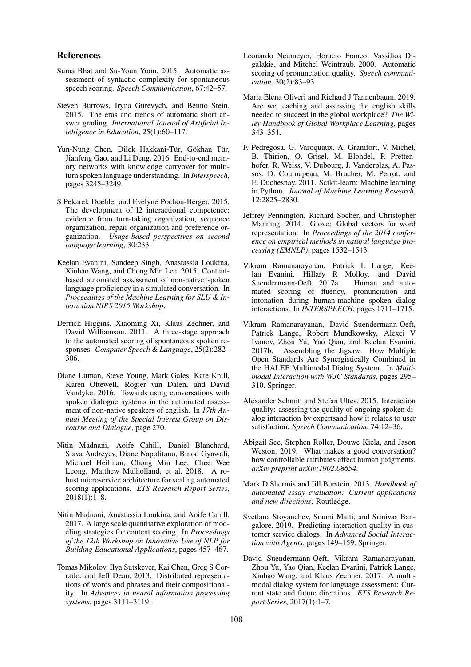#### References

- <span id="page-5-7"></span>Suma Bhat and Su-Youn Yoon. 2015. Automatic assessment of syntactic complexity for spontaneous speech scoring. *Speech Communication*, 67:42–57.
- <span id="page-5-4"></span>Steven Burrows, Iryna Gurevych, and Benno Stein. 2015. The eras and trends of automatic short answer grading. *International Journal of Artificial Intelligence in Education*, 25(1):60–117.
- <span id="page-5-15"></span>Yun-Nung Chen, Dilek Hakkani-Tür, Gökhan Tür, Jianfeng Gao, and Li Deng. 2016. End-to-end memory networks with knowledge carryover for multiturn spoken language understanding. In *Interspeech*, pages 3245–3249.
- <span id="page-5-1"></span>S Pekarek Doehler and Evelyne Pochon-Berger. 2015. The development of l2 interactional competence: evidence from turn-taking organization, sequence organization, repair organization and preference organization. *Usage-based perspectives on second language learning*, 30:233.
- <span id="page-5-8"></span>Keelan Evanini, Sandeep Singh, Anastassia Loukina, Xinhao Wang, and Chong Min Lee. 2015. Contentbased automated assessment of non-native spoken language proficiency in a simulated conversation. In *Proceedings of the Machine Learning for SLU & Interaction NIPS 2015 Workshop*.
- <span id="page-5-12"></span>Derrick Higgins, Xiaoming Xi, Klaus Zechner, and David Williamson. 2011. A three-stage approach to the automated scoring of spontaneous spoken responses. *Computer Speech & Language*, 25(2):282– 306.
- <span id="page-5-9"></span>Diane Litman, Steve Young, Mark Gales, Kate Knill, Karen Ottewell, Rogier van Dalen, and David Vandyke. 2016. Towards using conversations with spoken dialogue systems in the automated assessment of non-native speakers of english. In *17th Annual Meeting of the Special Interest Group on Discourse and Dialogue*, page 270.
- <span id="page-5-13"></span>Nitin Madnani, Aoife Cahill, Daniel Blanchard, Slava Andreyev, Diane Napolitano, Binod Gyawali, Michael Heilman, Chong Min Lee, Chee Wee Leong, Matthew Mulholland, et al. 2018. A robust microservice architecture for scaling automated scoring applications. *ETS Research Report Series*, 2018(1):1–8.
- <span id="page-5-5"></span>Nitin Madnani, Anastassia Loukina, and Aoife Cahill. 2017. A large scale quantitative exploration of modeling strategies for content scoring. In *Proceedings of the 12th Workshop on Innovative Use of NLP for Building Educational Applications*, pages 457–467.
- <span id="page-5-16"></span>Tomas Mikolov, Ilya Sutskever, Kai Chen, Greg S Corrado, and Jeff Dean. 2013. Distributed representations of words and phrases and their compositionality. In *Advances in neural information processing systems*, pages 3111–3119.
- <span id="page-5-6"></span>Leonardo Neumeyer, Horacio Franco, Vassilios Digalakis, and Mitchel Weintraub. 2000. Automatic scoring of pronunciation quality. *Speech communication*, 30(2):83–93.
- <span id="page-5-0"></span>Maria Elena Oliveri and Richard J Tannenbaum. 2019. Are we teaching and assessing the english skills needed to succeed in the global workplace? *The Wiley Handbook of Global Workplace Learning*, pages 343–354.
- <span id="page-5-14"></span>F. Pedregosa, G. Varoquaux, A. Gramfort, V. Michel, B. Thirion, O. Grisel, M. Blondel, P. Prettenhofer, R. Weiss, V. Dubourg, J. Vanderplas, A. Passos, D. Cournapeau, M. Brucher, M. Perrot, and E. Duchesnay. 2011. Scikit-learn: Machine learning in Python. *Journal of Machine Learning Research*, 12:2825–2830.
- <span id="page-5-17"></span>Jeffrey Pennington, Richard Socher, and Christopher Manning. 2014. Glove: Global vectors for word representation. In *Proceedings of the 2014 conference on empirical methods in natural language processing (EMNLP)*, pages 1532–1543.
- <span id="page-5-10"></span>Vikram Ramanarayanan, Patrick L Lange, Keelan Evanini, Hillary R Molloy, and David Suendermann-Oeft. 2017a. Human and automated scoring of fluency, pronunciation and intonation during human-machine spoken dialog interactions. In *INTERSPEECH*, pages 1711–1715.
- <span id="page-5-11"></span>Vikram Ramanarayanan, David Suendermann-Oeft, Patrick Lange, Robert Mundkowsky, Alexei V Ivanov, Zhou Yu, Yao Qian, and Keelan Evanini. 2017b. Assembling the Jigsaw: How Multiple Open Standards Are Synergistically Combined in the HALEF Multimodal Dialog System. In *Multimodal Interaction with W3C Standards*, pages 295– 310. Springer.
- <span id="page-5-18"></span>Alexander Schmitt and Stefan Ultes. 2015. Interaction quality: assessing the quality of ongoing spoken dialog interaction by expertsand how it relates to user satisfaction. *Speech Communication*, 74:12–36.
- <span id="page-5-20"></span>Abigail See, Stephen Roller, Douwe Kiela, and Jason Weston. 2019. What makes a good conversation? how controllable attributes affect human judgments. *arXiv preprint arXiv:1902.08654*.
- <span id="page-5-3"></span>Mark D Shermis and Jill Burstein. 2013. *Handbook of automated essay evaluation: Current applications and new directions*. Routledge.
- <span id="page-5-19"></span>Svetlana Stoyanchev, Soumi Maiti, and Srinivas Bangalore. 2019. Predicting interaction quality in customer service dialogs. In *Advanced Social Interaction with Agents*, pages 149–159. Springer.
- <span id="page-5-2"></span>David Suendermann-Oeft, Vikram Ramanarayanan, Zhou Yu, Yao Qian, Keelan Evanini, Patrick Lange, Xinhao Wang, and Klaus Zechner. 2017. A multimodal dialog system for language assessment: Current state and future directions. *ETS Research Report Series*, 2017(1):1–7.